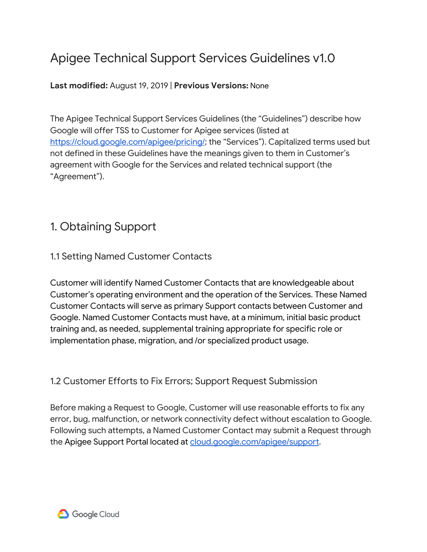# Apigee Technical Support Services Guidelines v1.0

### **Last modified:** August 19, 2019 | **Previous Versions:** None

The Apigee Technical Support Services Guidelines (the "Guidelines") describe how Google will offer TSS to Customer for Apigee services (listed at [https://cloud.google.com/apigee/pricing/;](https://cloud.google.com/apigee/pricing/) the "Services"). Capitalized terms used but not defined in these Guidelines have the meanings given to them in Customer's agreement with Google for the Services and related technical support (the "Agreement").

## 1. Obtaining Support

## 1.1 Setting Named Customer Contacts

Customer will identify Named Customer Contacts that are knowledgeable about Customer's operating environment and the operation of the Services. These Named Customer Contacts will serve as primary Support contacts between Customer and Google. Named Customer Contacts must have, at a minimum, initial basic product training and, as needed, supplemental training appropriate for specific role or implementation phase, migration, and /or specialized product usage.

## 1.2 Customer Efforts to Fix Errors; Support Request Submission

Before making a Request to Google, Customer will use reasonable efforts to fix any error, bug, malfunction, or network connectivity defect without escalation to Google. Following such attempts, a Named Customer Contact may submit a Request through the Apigee Support Portal located at [cloud.google.com/apigee/support](http://cloud.google.com/apigee/support).

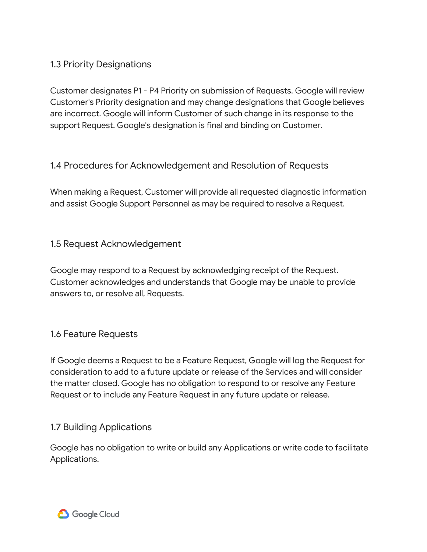### 1.3 Priority Designations

Customer designates P1 - P4 Priority on submission of Requests. Google will review Customer's Priority designation and may change designations that Google believes are incorrect. Google will inform Customer of such change in its response to the support Request. Google's designation is final and binding on Customer.

1.4 Procedures for Acknowledgement and Resolution of Requests

When making a Request, Customer will provide all requested diagnostic information and assist Google Support Personnel as may be required to resolve a Request.

1.5 Request Acknowledgement

Google may respond to a Request by acknowledging receipt of the Request. Customer acknowledges and understands that Google may be unable to provide answers to, or resolve all, Requests.

### 1.6 Feature Requests

If Google deems a Request to be a Feature Request, Google will log the Request for consideration to add to a future update or release of the Services and will consider the matter closed. Google has no obligation to respond to or resolve any Feature Request or to include any Feature Request in any future update or release.

### 1.7 Building Applications

Google has no obligation to write or build any Applications or write code to facilitate Applications.

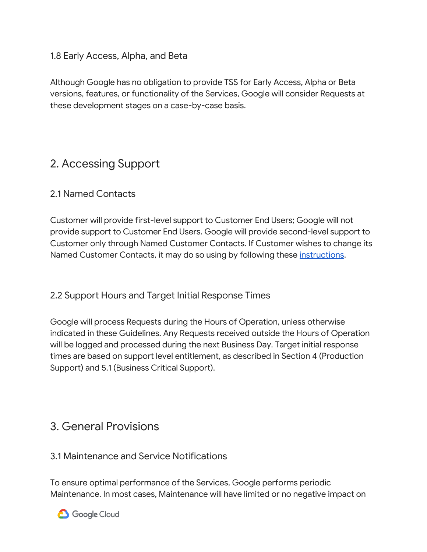### 1.8 Early Access, Alpha, and Beta

Although Google has no obligation to provide TSS for Early Access, Alpha or Beta versions, features, or functionality of the Services, Google will consider Requests at these development stages on a case-by-case basis.

## 2. Accessing Support

### 2.1 Named Contacts

Customer will provide first-level support to Customer End Users; Google will not provide support to Customer End Users. Google will provide second-level support to Customer only through Named Customer Contacts. If Customer wishes to change its Named Customer Contacts, it may do so using by following these *instructions*.

### 2.2 Support Hours and Target Initial Response Times

Google will process Requests during the Hours of Operation, unless otherwise indicated in these Guidelines. Any Requests received outside the Hours of Operation will be logged and processed during the next Business Day. Target initial response times are based on support level entitlement, as described in Section 4 (Production Support) and 5.1 (Business Critical Support).

## 3. General Provisions

### 3.1 Maintenance and Service Notifications

To ensure optimal performance of the Services, Google performs periodic Maintenance. In most cases, Maintenance will have limited or no negative impact on



**3** Google Cloud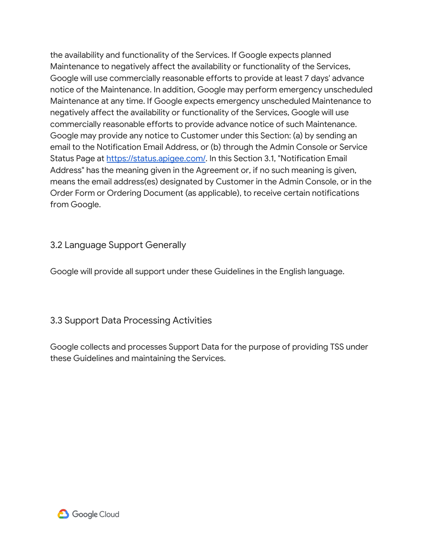the availability and functionality of the Services. If Google expects planned Maintenance to negatively affect the availability or functionality of the Services, Google will use commercially reasonable efforts to provide at least 7 days' advance notice of the Maintenance. In addition, Google may perform emergency unscheduled Maintenance at any time. If Google expects emergency unscheduled Maintenance to negatively affect the availability or functionality of the Services, Google will use commercially reasonable efforts to provide advance notice of such Maintenance. Google may provide any notice to Customer under this Section: (a) by sending an email to the Notification Email Address, or (b) through the Admin Console or Service Status Page at [https://status.apigee.com/.](https://status.apigee.com/) In this Section 3.1, "Notification Email Address" has the meaning given in the Agreement or, if no such meaning is given, means the email address(es) designated by Customer in the Admin Console, or in the Order Form or Ordering Document (as applicable), to receive certain notifications from Google.

### 3.2 Language Support Generally

Google will provide all support under these Guidelines in the English language.

### 3.3 Support Data Processing Activities

Google collects and processes Support Data for the purpose of providing TSS under these Guidelines and maintaining the Services.

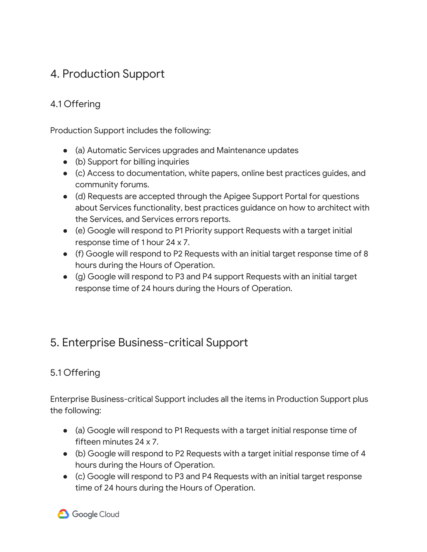## 4. Production Support

## 4.1 Offering

Production Support includes the following:

- (a) Automatic Services upgrades and Maintenance updates
- (b) Support for billing inquiries
- (c) Access to documentation, white papers, online best practices guides, and community forums.
- (d) Requests are accepted through the Apigee Support Portal for questions about Services functionality, best practices guidance on how to architect with the Services, and Services errors reports.
- (e) Google will respond to P1 Priority support Requests with a target initial response time of 1 hour 24 x 7.
- (f) Google will respond to P2 Requests with an initial target response time of 8 hours during the Hours of Operation.
- (g) Google will respond to P3 and P4 support Requests with an initial target response time of 24 hours during the Hours of Operation.

# 5. Enterprise Business-critical Support

## 5.1 Offering

Enterprise Business-critical Support includes all the items in Production Support plus the following:

- (a) Google will respond to P1 Requests with a target initial response time of fifteen minutes 24 x 7.
- (b) Google will respond to P2 Requests with a target initial response time of 4 hours during the Hours of Operation.
- (c) Google will respond to P3 and P4 Requests with an initial target response time of 24 hours during the Hours of Operation.

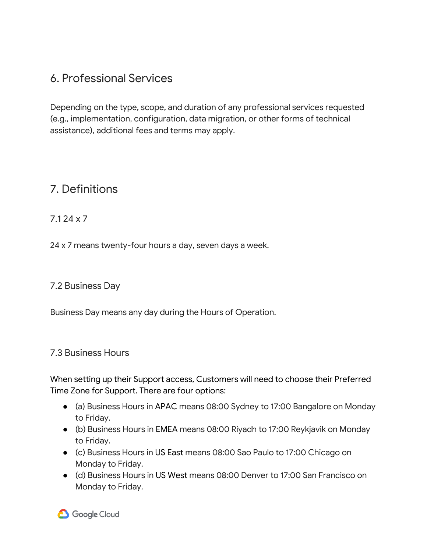# 6. Professional Services

Depending on the type, scope, and duration of any professional services requested (e.g., implementation, configuration, data migration, or other forms of technical assistance), additional fees and terms may apply.

# 7. Definitions

### 7.1 24 x 7

24 x 7 means twenty-four hours a day, seven days a week.

### 7.2 Business Day

Business Day means any day during the Hours of Operation.

### 7.3 Business Hours

When setting up their Support access, Customers will need to choose their Preferred Time Zone for Support. There are four options:

- (a) Business Hours in APAC means 08:00 Sydney to 17:00 Bangalore on Monday to Friday.
- (b) Business Hours in EMEA means 08:00 Riyadh to 17:00 Reykjavik on Monday to Friday.
- (c) Business Hours in US East means 08:00 Sao Paulo to 17:00 Chicago on Monday to Friday.
- (d) Business Hours in US West means 08:00 Denver to 17:00 San Francisco on Monday to Friday.

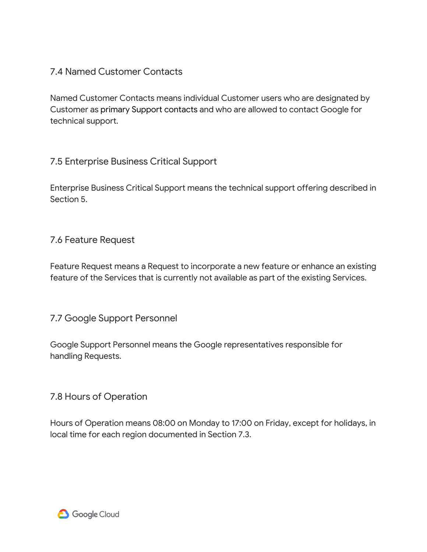### 7.4 Named Customer Contacts

Named Customer Contacts means individual Customer users who are designated by Customer as primary Support contacts and who are allowed to contact Google for technical support.

### 7.5 Enterprise Business Critical Support

Enterprise Business Critical Support means the technical support offering described in Section 5.

### 7.6 Feature Request

Feature Request means a Request to incorporate a new feature or enhance an existing feature of the Services that is currently not available as part of the existing Services.

### 7.7 Google Support Personnel

Google Support Personnel means the Google representatives responsible for handling Requests.

### 7.8 Hours of Operation

Hours of Operation means 08:00 on Monday to 17:00 on Friday, except for holidays, in local time for each region documented in Section 7.3.

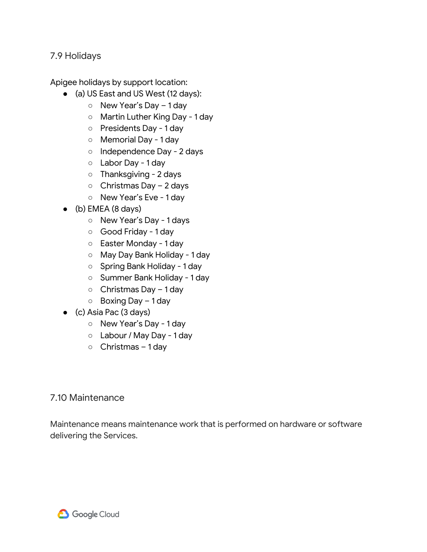#### 7.9 Holidays

Apigee holidays by support location:

- (a) US East and US West (12 days):
	- New Year's Day 1 day
	- Martin Luther King Day 1 day
	- Presidents Day 1 day
	- Memorial Day 1 day
	- o Independence Day 2 days
	- Labor Day 1 day
	- Thanksgiving 2 days
	- Christmas Day 2 days
	- New Year's Eve 1 day
- $\bullet$  (b) EMEA (8 days)
	- New Year's Day 1 days
	- Good Friday 1 day
	- Easter Monday 1 day
	- May Day Bank Holiday 1 day
	- Spring Bank Holiday 1 day
	- Summer Bank Holiday 1 day
	- Christmas Day 1 day
	- Boxing Day 1 day
- (c) Asia Pac (3 days)
	- New Year's Day 1 day
	- Labour / May Day 1 day
	- Christmas 1 day

### 7.10 Maintenance

Maintenance means maintenance work that is performed on hardware or software delivering the Services.

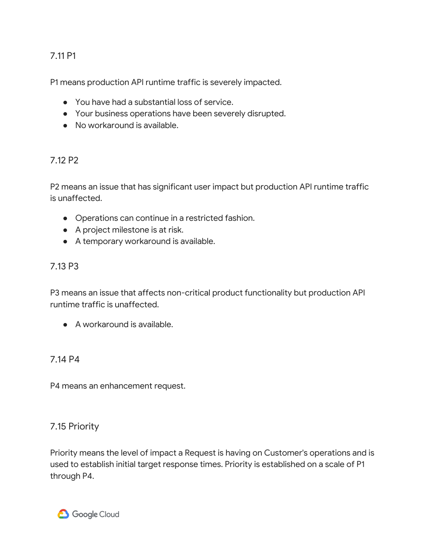### 7.11 P1

P1 means production API runtime traffic is severely impacted.

- You have had a substantial loss of service.
- Your business operations have been severely disrupted.
- No workaround is available.

### 7.12 P2

P2 means an issue that has significant user impact but production API runtime traffic is unaffected.

- Operations can continue in a restricted fashion.
- A project milestone is at risk.
- A temporary workaround is available.

### 7.13 P3

P3 means an issue that affects non-critical product functionality but production API runtime traffic is unaffected.

● A workaround is available.

### 7.14 P4

P4 means an enhancement request.

### 7.15 Priority

Priority means the level of impact a Request is having on Customer's operations and is used to establish initial target response times. Priority is established on a scale of P1 through P4.